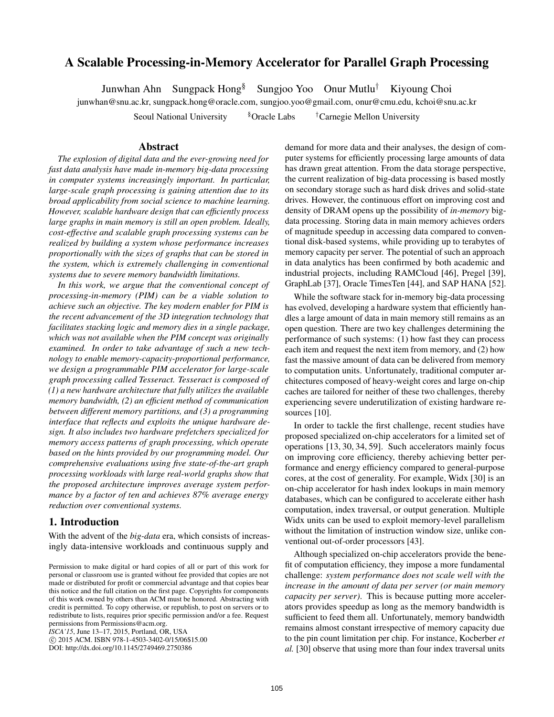# A Scalable Processing-in-Memory Accelerator for Parallel Graph Processing

Junwhan Ahn Sungpack Hong§ Sungjoo Yoo Onur Mutlu† Kiyoung Choi junwhan@snu.ac.kr, sungpack.hong@oracle.com, sungjoo.yoo@gmail.com, onur@cmu.edu, kchoi@snu.ac.kr

Seoul National University <sup>§</sup>Oracle Labs <sup>†</sup>Carnegie Mellon University

# Abstract

*The explosion of digital data and the ever-growing need for fast data analysis have made in-memory big-data processing in computer systems increasingly important. In particular, large-scale graph processing is gaining attention due to its broad applicability from social science to machine learning. However, scalable hardware design that can efficiently process large graphs in main memory is still an open problem. Ideally, cost-effective and scalable graph processing systems can be realized by building a system whose performance increases proportionally with the sizes of graphs that can be stored in the system, which is extremely challenging in conventional systems due to severe memory bandwidth limitations.*

*In this work, we argue that the conventional concept of processing-in-memory (PIM) can be a viable solution to achieve such an objective. The key modern enabler for PIM is the recent advancement of the 3D integration technology that facilitates stacking logic and memory dies in a single package, which was not available when the PIM concept was originally examined. In order to take advantage of such a new technology to enable memory-capacity-proportional performance, we design a programmable PIM accelerator for large-scale graph processing called Tesseract. Tesseract is composed of (1) a new hardware architecture that fully utilizes the available memory bandwidth, (2) an efficient method of communication between different memory partitions, and (3) a programming interface that reflects and exploits the unique hardware design. It also includes two hardware prefetchers specialized for memory access patterns of graph processing, which operate based on the hints provided by our programming model. Our comprehensive evaluations using five state-of-the-art graph processing workloads with large real-world graphs show that the proposed architecture improves average system performance by a factor of ten and achieves 87% average energy reduction over conventional systems.*

# 1. Introduction

With the advent of the *big-data* era, which consists of increasingly data-intensive workloads and continuous supply and

*ISCA'15*, June 13–17, 2015, Portland, OR, USA c 2015 ACM. ISBN 978-1-4503-3402-0/15/06\$15.00

DOI: http://dx.doi.org/10.1145/2749469.2750386

demand for more data and their analyses, the design of computer systems for efficiently processing large amounts of data has drawn great attention. From the data storage perspective, the current realization of big-data processing is based mostly on secondary storage such as hard disk drives and solid-state drives. However, the continuous effort on improving cost and density of DRAM opens up the possibility of *in-memory* bigdata processing. Storing data in main memory achieves orders of magnitude speedup in accessing data compared to conventional disk-based systems, while providing up to terabytes of memory capacity per server. The potential of such an approach in data analytics has been confirmed by both academic and industrial projects, including RAMCloud [46], Pregel [39], GraphLab [37], Oracle TimesTen [44], and SAP HANA [52].

While the software stack for in-memory big-data processing has evolved, developing a hardware system that efficiently handles a large amount of data in main memory still remains as an open question. There are two key challenges determining the performance of such systems: (1) how fast they can process each item and request the next item from memory, and (2) how fast the massive amount of data can be delivered from memory to computation units. Unfortunately, traditional computer architectures composed of heavy-weight cores and large on-chip caches are tailored for neither of these two challenges, thereby experiencing severe underutilization of existing hardware resources [10].

In order to tackle the first challenge, recent studies have proposed specialized on-chip accelerators for a limited set of operations [13, 30, 34, 59]. Such accelerators mainly focus on improving core efficiency, thereby achieving better performance and energy efficiency compared to general-purpose cores, at the cost of generality. For example, Widx [30] is an on-chip accelerator for hash index lookups in main memory databases, which can be configured to accelerate either hash computation, index traversal, or output generation. Multiple Widx units can be used to exploit memory-level parallelism without the limitation of instruction window size, unlike conventional out-of-order processors [43].

Although specialized on-chip accelerators provide the benefit of computation efficiency, they impose a more fundamental challenge: *system performance does not scale well with the increase in the amount of data per server (or main memory capacity per server)*. This is because putting more accelerators provides speedup as long as the memory bandwidth is sufficient to feed them all. Unfortunately, memory bandwidth remains almost constant irrespective of memory capacity due to the pin count limitation per chip. For instance, Kocberber *et al.* [30] observe that using more than four index traversal units

Permission to make digital or hard copies of all or part of this work for personal or classroom use is granted without fee provided that copies are not made or distributed for profit or commercial advantage and that copies bear this notice and the full citation on the first page. Copyrights for components of this work owned by others than ACM must be honored. Abstracting with credit is permitted. To copy otherwise, or republish, to post on servers or to redistribute to lists, requires prior specific permission and/or a fee. Request permissions from Permissions@acm.org.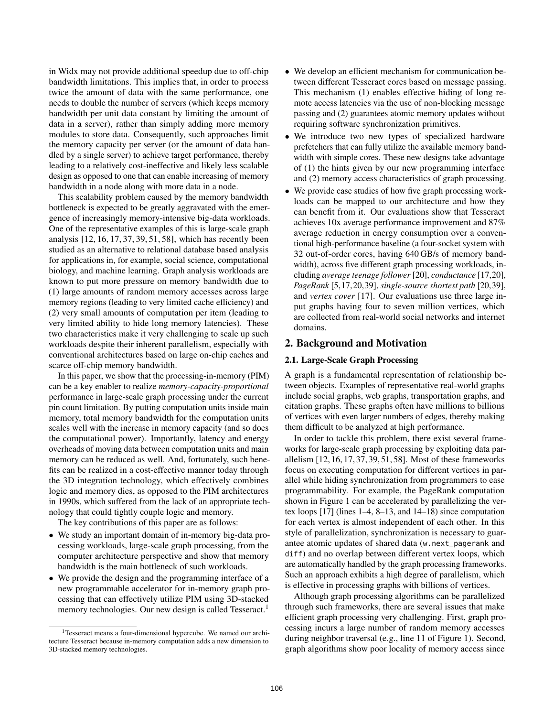in Widx may not provide additional speedup due to off-chip bandwidth limitations. This implies that, in order to process twice the amount of data with the same performance, one needs to double the number of servers (which keeps memory bandwidth per unit data constant by limiting the amount of data in a server), rather than simply adding more memory modules to store data. Consequently, such approaches limit the memory capacity per server (or the amount of data handled by a single server) to achieve target performance, thereby leading to a relatively cost-ineffective and likely less scalable design as opposed to one that can enable increasing of memory bandwidth in a node along with more data in a node.

This scalability problem caused by the memory bandwidth bottleneck is expected to be greatly aggravated with the emergence of increasingly memory-intensive big-data workloads. One of the representative examples of this is large-scale graph analysis [12, 16, 17, 37, 39, 51, 58], which has recently been studied as an alternative to relational database based analysis for applications in, for example, social science, computational biology, and machine learning. Graph analysis workloads are known to put more pressure on memory bandwidth due to (1) large amounts of random memory accesses across large memory regions (leading to very limited cache efficiency) and (2) very small amounts of computation per item (leading to very limited ability to hide long memory latencies). These two characteristics make it very challenging to scale up such workloads despite their inherent parallelism, especially with conventional architectures based on large on-chip caches and scarce off-chip memory bandwidth.

In this paper, we show that the processing-in-memory (PIM) can be a key enabler to realize *memory-capacity-proportional* performance in large-scale graph processing under the current pin count limitation. By putting computation units inside main memory, total memory bandwidth for the computation units scales well with the increase in memory capacity (and so does the computational power). Importantly, latency and energy overheads of moving data between computation units and main memory can be reduced as well. And, fortunately, such benefits can be realized in a cost-effective manner today through the 3D integration technology, which effectively combines logic and memory dies, as opposed to the PIM architectures in 1990s, which suffered from the lack of an appropriate technology that could tightly couple logic and memory.

The key contributions of this paper are as follows:

- We study an important domain of in-memory big-data processing workloads, large-scale graph processing, from the computer architecture perspective and show that memory bandwidth is the main bottleneck of such workloads.
- We provide the design and the programming interface of a new programmable accelerator for in-memory graph processing that can effectively utilize PIM using 3D-stacked memory technologies. Our new design is called Tesseract.<sup>1</sup>
- We develop an efficient mechanism for communication between different Tesseract cores based on message passing. This mechanism (1) enables effective hiding of long remote access latencies via the use of non-blocking message passing and (2) guarantees atomic memory updates without requiring software synchronization primitives.
- We introduce two new types of specialized hardware prefetchers that can fully utilize the available memory bandwidth with simple cores. These new designs take advantage of (1) the hints given by our new programming interface and (2) memory access characteristics of graph processing.
- We provide case studies of how five graph processing workloads can be mapped to our architecture and how they can benefit from it. Our evaluations show that Tesseract achieves 10x average performance improvement and 87% average reduction in energy consumption over a conventional high-performance baseline (a four-socket system with 32 out-of-order cores, having 640 GB/s of memory bandwidth), across five different graph processing workloads, including *average teenage follower* [20], *conductance* [17,20], *PageRank* [5,17,20,39], *single-source shortest path* [20,39], and *vertex cover* [17]. Our evaluations use three large input graphs having four to seven million vertices, which are collected from real-world social networks and internet domains.

# 2. Background and Motivation

#### 2.1. Large-Scale Graph Processing

A graph is a fundamental representation of relationship between objects. Examples of representative real-world graphs include social graphs, web graphs, transportation graphs, and citation graphs. These graphs often have millions to billions of vertices with even larger numbers of edges, thereby making them difficult to be analyzed at high performance.

In order to tackle this problem, there exist several frameworks for large-scale graph processing by exploiting data parallelism [12, 16, 17, 37, 39, 51, 58]. Most of these frameworks focus on executing computation for different vertices in parallel while hiding synchronization from programmers to ease programmability. For example, the PageRank computation shown in Figure 1 can be accelerated by parallelizing the vertex loops [17] (lines 1–4, 8–13, and 14–18) since computation for each vertex is almost independent of each other. In this style of parallelization, synchronization is necessary to guarantee atomic updates of shared data (w.next\_pagerank and diff) and no overlap between different vertex loops, which are automatically handled by the graph processing frameworks. Such an approach exhibits a high degree of parallelism, which is effective in processing graphs with billions of vertices.

Although graph processing algorithms can be parallelized through such frameworks, there are several issues that make efficient graph processing very challenging. First, graph processing incurs a large number of random memory accesses during neighbor traversal (e.g., line 11 of Figure 1). Second, graph algorithms show poor locality of memory access since

<sup>&</sup>lt;sup>1</sup>Tesseract means a four-dimensional hypercube. We named our architecture Tesseract because in-memory computation adds a new dimension to 3D-stacked memory technologies.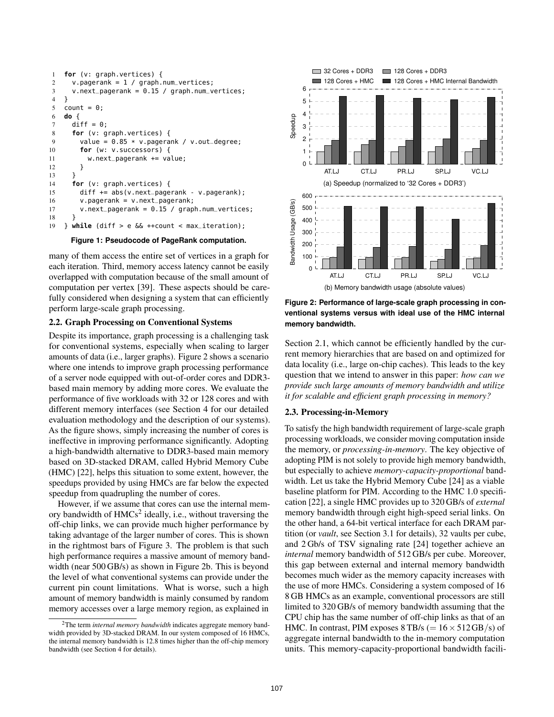```
1 for (v: graph.vertices) {
2 v.pagerank = 1 / graph.num_vertices;
3 v.next_pagerank = 0.15 / graph.num_vertices;
4 }
5 count = 0;
6 do {
7 diff = 0;
8 for (v: graph.vertices) {
9 value = 0.85 * v.pagerank / v.out-degree;<br>10 for (w: v.successors) {
       for (w: v.successors) {
11 w.next_pagerank += value;
12 }
13 }
14 for (v: graph.vertices) {
15 diff += abs(v.next_pagerank - v.pagerank);
16 v.pagerank = v.next_pagerank;
17 v.next_pagerank = 0.15 / graph.num_vertices;
18 }
19 } while (diff > e && ++count < max_iteration);
```
#### **Figure 1: Pseudocode of PageRank computation.**

many of them access the entire set of vertices in a graph for each iteration. Third, memory access latency cannot be easily overlapped with computation because of the small amount of computation per vertex [39]. These aspects should be carefully considered when designing a system that can efficiently perform large-scale graph processing.

### 2.2. Graph Processing on Conventional Systems

Despite its importance, graph processing is a challenging task for conventional systems, especially when scaling to larger amounts of data (i.e., larger graphs). Figure 2 shows a scenario where one intends to improve graph processing performance of a server node equipped with out-of-order cores and DDR3 based main memory by adding more cores. We evaluate the performance of five workloads with 32 or 128 cores and with different memory interfaces (see Section 4 for our detailed evaluation methodology and the description of our systems). As the figure shows, simply increasing the number of cores is ineffective in improving performance significantly. Adopting a high-bandwidth alternative to DDR3-based main memory based on 3D-stacked DRAM, called Hybrid Memory Cube (HMC) [22], helps this situation to some extent, however, the speedups provided by using HMCs are far below the expected speedup from quadrupling the number of cores.

However, if we assume that cores can use the internal memory bandwidth of  $HMCs^2$  ideally, i.e., without traversing the off-chip links, we can provide much higher performance by taking advantage of the larger number of cores. This is shown in the rightmost bars of Figure 3. The problem is that such high performance requires a massive amount of memory bandwidth (near 500 GB/s) as shown in Figure 2b. This is beyond the level of what conventional systems can provide under the current pin count limitations. What is worse, such a high amount of memory bandwidth is mainly consumed by random memory accesses over a large memory region, as explained in



**Figure 2: Performance of large-scale graph processing in conventional systems versus with ideal use of the HMC internal memory bandwidth.**

Section 2.1, which cannot be efficiently handled by the current memory hierarchies that are based on and optimized for data locality (i.e., large on-chip caches). This leads to the key question that we intend to answer in this paper: *how can we provide such large amounts of memory bandwidth and utilize it for scalable and efficient graph processing in memory?*

### 2.3. Processing-in-Memory

To satisfy the high bandwidth requirement of large-scale graph processing workloads, we consider moving computation inside the memory, or *processing-in-memory*. The key objective of adopting PIM is not solely to provide high memory bandwidth, but especially to achieve *memory-capacity-proportional* bandwidth. Let us take the Hybrid Memory Cube [24] as a viable baseline platform for PIM. According to the HMC 1.0 specification [22], a single HMC provides up to 320 GB/s of *external* memory bandwidth through eight high-speed serial links. On the other hand, a 64-bit vertical interface for each DRAM partition (or *vault*, see Section 3.1 for details), 32 vaults per cube, and 2 Gb/s of TSV signaling rate [24] together achieve an *internal* memory bandwidth of 512 GB/s per cube. Moreover, this gap between external and internal memory bandwidth becomes much wider as the memory capacity increases with the use of more HMCs. Considering a system composed of 16 8 GB HMCs as an example, conventional processors are still limited to 320 GB/s of memory bandwidth assuming that the CPU chip has the same number of off-chip links as that of an HMC. In contrast, PIM exposes  $8 \text{ TB/s } (= 16 \times 512 \text{ GB/s})$  of aggregate internal bandwidth to the in-memory computation units. This memory-capacity-proportional bandwidth facili-

<sup>2</sup>The term *internal memory bandwidth* indicates aggregate memory bandwidth provided by 3D-stacked DRAM. In our system composed of 16 HMCs, the internal memory bandwidth is 12.8 times higher than the off-chip memory bandwidth (see Section 4 for details).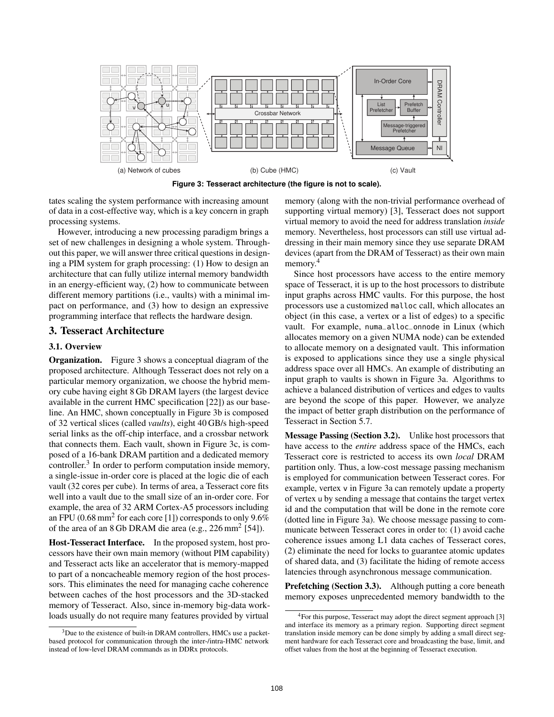

**Figure 3: Tesseract architecture (the figure is not to scale).**

tates scaling the system performance with increasing amount of data in a cost-effective way, which is a key concern in graph processing systems.

However, introducing a new processing paradigm brings a set of new challenges in designing a whole system. Throughout this paper, we will answer three critical questions in designing a PIM system for graph processing: (1) How to design an architecture that can fully utilize internal memory bandwidth in an energy-efficient way, (2) how to communicate between different memory partitions (i.e., vaults) with a minimal impact on performance, and (3) how to design an expressive programming interface that reflects the hardware design.

## 3. Tesseract Architecture

### 3.1. Overview

**Organization.** Figure 3 shows a conceptual diagram of the proposed architecture. Although Tesseract does not rely on a particular memory organization, we choose the hybrid memory cube having eight 8 Gb DRAM layers (the largest device available in the current HMC specification [22]) as our baseline. An HMC, shown conceptually in Figure 3b is composed of 32 vertical slices (called *vaults*), eight 40 GB/s high-speed serial links as the off-chip interface, and a crossbar network that connects them. Each vault, shown in Figure 3c, is composed of a 16-bank DRAM partition and a dedicated memory controller.<sup>3</sup> In order to perform computation inside memory, a single-issue in-order core is placed at the logic die of each vault (32 cores per cube). In terms of area, a Tesseract core fits well into a vault due to the small size of an in-order core. For example, the area of 32 ARM Cortex-A5 processors including an FPU (0.68 mm<sup>2</sup> for each core [1]) corresponds to only  $9.6\%$ of the area of an 8 Gb DRAM die area (e.g., 226 mm<sup>2</sup> [54]).

Host-Tesseract Interface. In the proposed system, host processors have their own main memory (without PIM capability) and Tesseract acts like an accelerator that is memory-mapped to part of a noncacheable memory region of the host processors. This eliminates the need for managing cache coherence between caches of the host processors and the 3D-stacked memory of Tesseract. Also, since in-memory big-data workloads usually do not require many features provided by virtual

<sup>3</sup>Due to the existence of built-in DRAM controllers, HMCs use a packetbased protocol for communication through the inter-/intra-HMC network instead of low-level DRAM commands as in DDRx protocols.

memory (along with the non-trivial performance overhead of supporting virtual memory) [3], Tesseract does not support virtual memory to avoid the need for address translation *inside* memory. Nevertheless, host processors can still use virtual addressing in their main memory since they use separate DRAM devices (apart from the DRAM of Tesseract) as their own main memory.<sup>4</sup>

Since host processors have access to the entire memory space of Tesseract, it is up to the host processors to distribute input graphs across HMC vaults. For this purpose, the host processors use a customized malloc call, which allocates an object (in this case, a vertex or a list of edges) to a specific vault. For example, numa\_alloc\_onnode in Linux (which allocates memory on a given NUMA node) can be extended to allocate memory on a designated vault. This information is exposed to applications since they use a single physical address space over all HMCs. An example of distributing an input graph to vaults is shown in Figure 3a. Algorithms to achieve a balanced distribution of vertices and edges to vaults are beyond the scope of this paper. However, we analyze the impact of better graph distribution on the performance of Tesseract in Section 5.7.

Message Passing (Section 3.2). Unlike host processors that have access to the *entire* address space of the HMCs, each Tesseract core is restricted to access its own *local* DRAM partition only. Thus, a low-cost message passing mechanism is employed for communication between Tesseract cores. For example, vertex v in Figure 3a can remotely update a property of vertex u by sending a message that contains the target vertex id and the computation that will be done in the remote core (dotted line in Figure 3a). We choose message passing to communicate between Tesseract cores in order to: (1) avoid cache coherence issues among L1 data caches of Tesseract cores, (2) eliminate the need for locks to guarantee atomic updates of shared data, and (3) facilitate the hiding of remote access latencies through asynchronous message communication.

Prefetching (Section 3.3). Although putting a core beneath memory exposes unprecedented memory bandwidth to the

 ${}^{4}$ For this purpose, Tesseract may adopt the direct segment approach [3] and interface its memory as a primary region. Supporting direct segment translation inside memory can be done simply by adding a small direct segment hardware for each Tesseract core and broadcasting the base, limit, and offset values from the host at the beginning of Tesseract execution.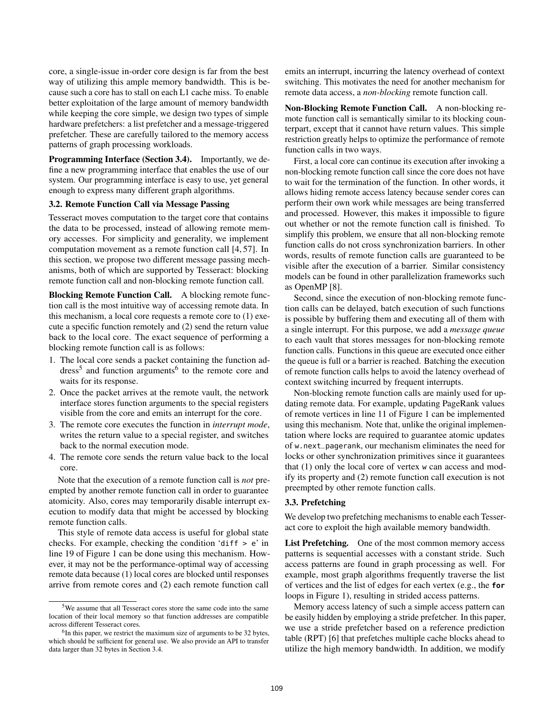core, a single-issue in-order core design is far from the best way of utilizing this ample memory bandwidth. This is because such a core has to stall on each L1 cache miss. To enable better exploitation of the large amount of memory bandwidth while keeping the core simple, we design two types of simple hardware prefetchers: a list prefetcher and a message-triggered prefetcher. These are carefully tailored to the memory access patterns of graph processing workloads.

Programming Interface (Section 3.4). Importantly, we define a new programming interface that enables the use of our system. Our programming interface is easy to use, yet general enough to express many different graph algorithms.

### 3.2. Remote Function Call via Message Passing

Tesseract moves computation to the target core that contains the data to be processed, instead of allowing remote memory accesses. For simplicity and generality, we implement computation movement as a remote function call [4, 57]. In this section, we propose two different message passing mechanisms, both of which are supported by Tesseract: blocking remote function call and non-blocking remote function call.

Blocking Remote Function Call. A blocking remote function call is the most intuitive way of accessing remote data. In this mechanism, a local core requests a remote core to (1) execute a specific function remotely and (2) send the return value back to the local core. The exact sequence of performing a blocking remote function call is as follows:

- 1. The local core sends a packet containing the function address<sup>5</sup> and function arguments<sup>6</sup> to the remote core and waits for its response.
- 2. Once the packet arrives at the remote vault, the network interface stores function arguments to the special registers visible from the core and emits an interrupt for the core.
- 3. The remote core executes the function in *interrupt mode*, writes the return value to a special register, and switches back to the normal execution mode.
- 4. The remote core sends the return value back to the local core.

Note that the execution of a remote function call is *not* preempted by another remote function call in order to guarantee atomicity. Also, cores may temporarily disable interrupt execution to modify data that might be accessed by blocking remote function calls.

This style of remote data access is useful for global state checks. For example, checking the condition 'diff > e' in line 19 of Figure 1 can be done using this mechanism. However, it may not be the performance-optimal way of accessing remote data because (1) local cores are blocked until responses arrive from remote cores and (2) each remote function call

emits an interrupt, incurring the latency overhead of context switching. This motivates the need for another mechanism for remote data access, a *non-blocking* remote function call.

Non-Blocking Remote Function Call. A non-blocking remote function call is semantically similar to its blocking counterpart, except that it cannot have return values. This simple restriction greatly helps to optimize the performance of remote function calls in two ways.

First, a local core can continue its execution after invoking a non-blocking remote function call since the core does not have to wait for the termination of the function. In other words, it allows hiding remote access latency because sender cores can perform their own work while messages are being transferred and processed. However, this makes it impossible to figure out whether or not the remote function call is finished. To simplify this problem, we ensure that all non-blocking remote function calls do not cross synchronization barriers. In other words, results of remote function calls are guaranteed to be visible after the execution of a barrier. Similar consistency models can be found in other parallelization frameworks such as OpenMP [8].

Second, since the execution of non-blocking remote function calls can be delayed, batch execution of such functions is possible by buffering them and executing all of them with a single interrupt. For this purpose, we add a *message queue* to each vault that stores messages for non-blocking remote function calls. Functions in this queue are executed once either the queue is full or a barrier is reached. Batching the execution of remote function calls helps to avoid the latency overhead of context switching incurred by frequent interrupts.

Non-blocking remote function calls are mainly used for updating remote data. For example, updating PageRank values of remote vertices in line 11 of Figure 1 can be implemented using this mechanism. Note that, unlike the original implementation where locks are required to guarantee atomic updates of w.next\_pagerank, our mechanism eliminates the need for locks or other synchronization primitives since it guarantees that (1) only the local core of vertex w can access and modify its property and (2) remote function call execution is not preempted by other remote function calls.

# 3.3. Prefetching

We develop two prefetching mechanisms to enable each Tesseract core to exploit the high available memory bandwidth.

List Prefetching. One of the most common memory access patterns is sequential accesses with a constant stride. Such access patterns are found in graph processing as well. For example, most graph algorithms frequently traverse the list of vertices and the list of edges for each vertex (e.g., the **for** loops in Figure 1), resulting in strided access patterns.

Memory access latency of such a simple access pattern can be easily hidden by employing a stride prefetcher. In this paper, we use a stride prefetcher based on a reference prediction table (RPT) [6] that prefetches multiple cache blocks ahead to utilize the high memory bandwidth. In addition, we modify

<sup>5</sup>We assume that all Tesseract cores store the same code into the same location of their local memory so that function addresses are compatible across different Tesseract cores.

<sup>&</sup>lt;sup>6</sup>In this paper, we restrict the maximum size of arguments to be 32 bytes, which should be sufficient for general use. We also provide an API to transfer data larger than 32 bytes in Section 3.4.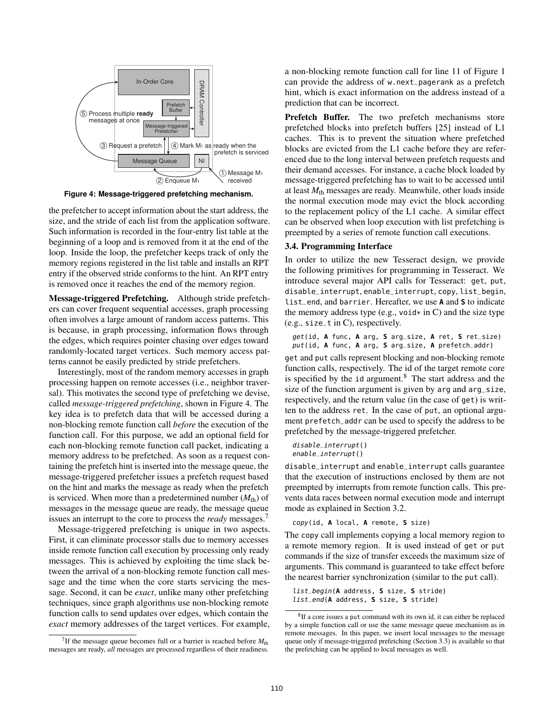

**Figure 4: Message-triggered prefetching mechanism.**

the prefetcher to accept information about the start address, the size, and the stride of each list from the application software. Such information is recorded in the four-entry list table at the beginning of a loop and is removed from it at the end of the loop. Inside the loop, the prefetcher keeps track of only the memory regions registered in the list table and installs an RPT entry if the observed stride conforms to the hint. An RPT entry is removed once it reaches the end of the memory region.

Message-triggered Prefetching. Although stride prefetchers can cover frequent sequential accesses, graph processing often involves a large amount of random access patterns. This is because, in graph processing, information flows through the edges, which requires pointer chasing over edges toward randomly-located target vertices. Such memory access patterns cannot be easily predicted by stride prefetchers.

Interestingly, most of the random memory accesses in graph processing happen on remote accesses (i.e., neighbor traversal). This motivates the second type of prefetching we devise, called *message-triggered prefetching*, shown in Figure 4. The key idea is to prefetch data that will be accessed during a non-blocking remote function call *before* the execution of the function call. For this purpose, we add an optional field for each non-blocking remote function call packet, indicating a memory address to be prefetched. As soon as a request containing the prefetch hint is inserted into the message queue, the message-triggered prefetcher issues a prefetch request based on the hint and marks the message as ready when the prefetch is serviced. When more than a predetermined number  $(M<sub>th</sub>)$  of messages in the message queue are ready, the message queue issues an interrupt to the core to process the *ready* messages.<sup>7</sup>

Message-triggered prefetching is unique in two aspects. First, it can eliminate processor stalls due to memory accesses inside remote function call execution by processing only ready messages. This is achieved by exploiting the time slack between the arrival of a non-blocking remote function call message and the time when the core starts servicing the message. Second, it can be *exact*, unlike many other prefetching techniques, since graph algorithms use non-blocking remote function calls to send updates over edges, which contain the *exact* memory addresses of the target vertices. For example,

<sup>7</sup>If the message queue becomes full or a barrier is reached before  $M_{\text{th}}$ messages are ready, *all* messages are processed regardless of their readiness. a non-blocking remote function call for line 11 of Figure 1 can provide the address of w.next\_pagerank as a prefetch hint, which is exact information on the address instead of a prediction that can be incorrect.

Prefetch Buffer. The two prefetch mechanisms store prefetched blocks into prefetch buffers [25] instead of L1 caches. This is to prevent the situation where prefetched blocks are evicted from the L1 cache before they are referenced due to the long interval between prefetch requests and their demand accesses. For instance, a cache block loaded by message-triggered prefetching has to wait to be accessed until at least *M*th messages are ready. Meanwhile, other loads inside the normal execution mode may evict the block according to the replacement policy of the L1 cache. A similar effect can be observed when loop execution with list prefetching is preempted by a series of remote function call executions.

### 3.4. Programming Interface

In order to utilize the new Tesseract design, we provide the following primitives for programming in Tesseract. We introduce several major API calls for Tesseract: get, put, disable\_interrupt, enable\_interrupt, copy, list\_begin, list\_end, and barrier. Hereafter, we use **A** and **S** to indicate the memory address type (e.g., void $*$  in C) and the size type (e.g., size\_t in C), respectively.

get(id, **A** func, **A** arg, **S** arg\_size, **A** ret, **S** ret\_size) put(id, **A** func, **A** arg, **S** arg\_size, **A** prefetch\_addr)

get and put calls represent blocking and non-blocking remote function calls, respectively. The id of the target remote core is specified by the id argument. $8$  The start address and the size of the function argument is given by arg and arg\_size, respectively, and the return value (in the case of get) is written to the address ret. In the case of put, an optional argument prefetch\_addr can be used to specify the address to be prefetched by the message-triggered prefetcher.

```
disable_interrupt()
enable_interrupt()
```
disable\_interrupt and enable\_interrupt calls guarantee that the execution of instructions enclosed by them are not preempted by interrupts from remote function calls. This prevents data races between normal execution mode and interrupt mode as explained in Section 3.2.

copy(id, **A** local, **A** remote, **S** size)

The copy call implements copying a local memory region to a remote memory region. It is used instead of get or put commands if the size of transfer exceeds the maximum size of arguments. This command is guaranteed to take effect before the nearest barrier synchronization (similar to the put call).

list\_begin(**A** address, **S** size, **S** stride) list\_end(**A** address, **S** size, **S** stride)

<sup>&</sup>lt;sup>8</sup>If a core issues a put command with its own id, it can either be replaced by a simple function call or use the same message queue mechanism as in remote messages. In this paper, we insert local messages to the message queue only if message-triggered prefetching (Section 3.3) is available so that the prefetching can be applied to local messages as well.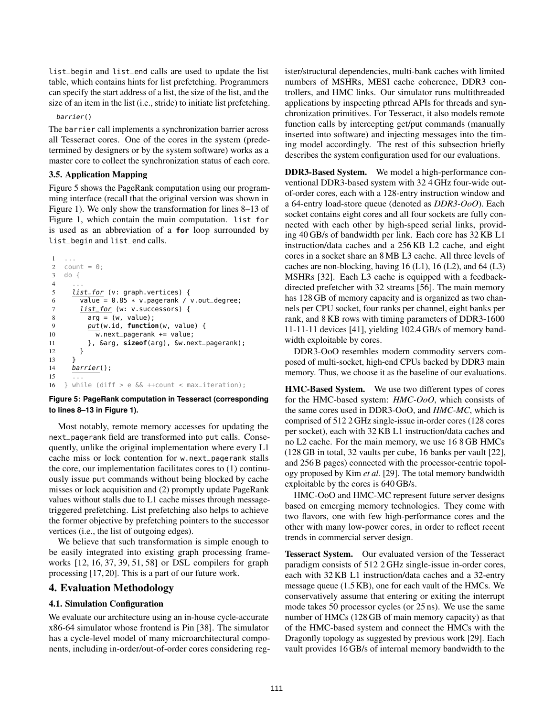list\_begin and list\_end calls are used to update the list table, which contains hints for list prefetching. Programmers can specify the start address of a list, the size of the list, and the size of an item in the list (i.e., stride) to initiate list prefetching.

#### barrier()

The barrier call implements a synchronization barrier across all Tesseract cores. One of the cores in the system (predetermined by designers or by the system software) works as a master core to collect the synchronization status of each core.

# 3.5. Application Mapping

Figure 5 shows the PageRank computation using our programming interface (recall that the original version was shown in Figure 1). We only show the transformation for lines 8–13 of Figure 1, which contain the main computation. list\_for is used as an abbreviation of a **for** loop surrounded by list\_begin and list\_end calls.

```
1 ...
2 count = 0;3 do {
 4 ...
5 list_for (v: graph.vertices) {
6 value = 0.85 * v.pagerank / v.out-degree;7 list_for (w: v.successors) {
8 arg = (w, value);
9 put(w.id, function(w, value) {
10 w.next_pagerank += value;
11 }, &arg, sizeof(arg), &w.next_pagerank);
12 }
13 }
14 <u>barrier</u>();
15
16 } while (diff > e \&f + count < max\_iteration);
```
## **Figure 5: PageRank computation in Tesseract (corresponding to lines 8–13 in Figure 1).**

Most notably, remote memory accesses for updating the next\_pagerank field are transformed into put calls. Consequently, unlike the original implementation where every L1 cache miss or lock contention for w.next\_pagerank stalls the core, our implementation facilitates cores to (1) continuously issue put commands without being blocked by cache misses or lock acquisition and (2) promptly update PageRank values without stalls due to L1 cache misses through messagetriggered prefetching. List prefetching also helps to achieve the former objective by prefetching pointers to the successor vertices (i.e., the list of outgoing edges).

We believe that such transformation is simple enough to be easily integrated into existing graph processing frameworks [12, 16, 37, 39, 51, 58] or DSL compilers for graph processing [17, 20]. This is a part of our future work.

# 4. Evaluation Methodology

#### 4.1. Simulation Configuration

We evaluate our architecture using an in-house cycle-accurate x86-64 simulator whose frontend is Pin [38]. The simulator has a cycle-level model of many microarchitectural components, including in-order/out-of-order cores considering register/structural dependencies, multi-bank caches with limited numbers of MSHRs, MESI cache coherence, DDR3 controllers, and HMC links. Our simulator runs multithreaded applications by inspecting pthread APIs for threads and synchronization primitives. For Tesseract, it also models remote function calls by intercepting get/put commands (manually inserted into software) and injecting messages into the timing model accordingly. The rest of this subsection briefly describes the system configuration used for our evaluations.

DDR3-Based System. We model a high-performance conventional DDR3-based system with 32 4 GHz four-wide outof-order cores, each with a 128-entry instruction window and a 64-entry load-store queue (denoted as *DDR3-OoO*). Each socket contains eight cores and all four sockets are fully connected with each other by high-speed serial links, providing 40 GB/s of bandwidth per link. Each core has 32 KB L1 instruction/data caches and a 256 KB L2 cache, and eight cores in a socket share an 8 MB L3 cache. All three levels of caches are non-blocking, having 16 (L1), 16 (L2), and 64 (L3) MSHRs [32]. Each L3 cache is equipped with a feedbackdirected prefetcher with 32 streams [56]. The main memory has 128 GB of memory capacity and is organized as two channels per CPU socket, four ranks per channel, eight banks per rank, and 8 KB rows with timing parameters of DDR3-1600 11-11-11 devices [41], yielding 102.4 GB/s of memory bandwidth exploitable by cores.

DDR3-OoO resembles modern commodity servers composed of multi-socket, high-end CPUs backed by DDR3 main memory. Thus, we choose it as the baseline of our evaluations.

HMC-Based System. We use two different types of cores for the HMC-based system: *HMC-OoO*, which consists of the same cores used in DDR3-OoO, and *HMC-MC*, which is comprised of 512 2 GHz single-issue in-order cores (128 cores per socket), each with 32 KB L1 instruction/data caches and no L2 cache. For the main memory, we use 16 8 GB HMCs (128 GB in total, 32 vaults per cube, 16 banks per vault [22], and 256 B pages) connected with the processor-centric topology proposed by Kim *et al.* [29]. The total memory bandwidth exploitable by the cores is 640 GB/s.

HMC-OoO and HMC-MC represent future server designs based on emerging memory technologies. They come with two flavors, one with few high-performance cores and the other with many low-power cores, in order to reflect recent trends in commercial server design.

Tesseract System. Our evaluated version of the Tesseract paradigm consists of 512 2 GHz single-issue in-order cores, each with 32 KB L1 instruction/data caches and a 32-entry message queue (1.5 KB), one for each vault of the HMCs. We conservatively assume that entering or exiting the interrupt mode takes 50 processor cycles (or 25 ns). We use the same number of HMCs (128 GB of main memory capacity) as that of the HMC-based system and connect the HMCs with the Dragonfly topology as suggested by previous work [29]. Each vault provides 16 GB/s of internal memory bandwidth to the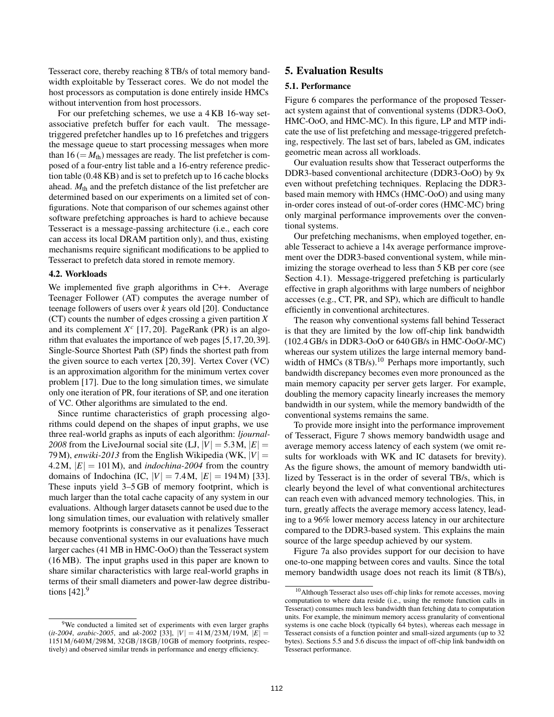Tesseract core, thereby reaching 8 TB/s of total memory bandwidth exploitable by Tesseract cores. We do not model the host processors as computation is done entirely inside HMCs without intervention from host processors.

For our prefetching schemes, we use a 4 KB 16-way setassociative prefetch buffer for each vault. The messagetriggered prefetcher handles up to 16 prefetches and triggers the message queue to start processing messages when more than  $16 (= M<sub>th</sub>)$  messages are ready. The list prefetcher is composed of a four-entry list table and a 16-entry reference prediction table (0.48 KB) and is set to prefetch up to 16 cache blocks ahead. *M*th and the prefetch distance of the list prefetcher are determined based on our experiments on a limited set of configurations. Note that comparison of our schemes against other software prefetching approaches is hard to achieve because Tesseract is a message-passing architecture (i.e., each core can access its local DRAM partition only), and thus, existing mechanisms require significant modifications to be applied to Tesseract to prefetch data stored in remote memory.

#### 4.2. Workloads

We implemented five graph algorithms in C++. Average Teenager Follower (AT) computes the average number of teenage followers of users over *k* years old [20]. Conductance (CT) counts the number of edges crossing a given partition *X* and its complement  $X^c$  [17, 20]. PageRank (PR) is an algorithm that evaluates the importance of web pages [5,17,20,39]. Single-Source Shortest Path (SP) finds the shortest path from the given source to each vertex [20, 39]. Vertex Cover (VC) is an approximation algorithm for the minimum vertex cover problem [17]. Due to the long simulation times, we simulate only one iteration of PR, four iterations of SP, and one iteration of VC. Other algorithms are simulated to the end.

Since runtime characteristics of graph processing algorithms could depend on the shapes of input graphs, we use three real-world graphs as inputs of each algorithm: *ljournal-*2008 from the LiveJournal social site (LJ,  $|V| = 5.3$  M,  $|E| =$ 79M), *enwiki-2013* from the English Wikipedia (WK,  $|V| =$ 4.2M,  $|E| = 101$  M), and *indochina-2004* from the country domains of Indochina (IC,  $|V| = 7.4$ M,  $|E| = 194$ M) [33]. These inputs yield 3–5 GB of memory footprint, which is much larger than the total cache capacity of any system in our evaluations. Although larger datasets cannot be used due to the long simulation times, our evaluation with relatively smaller memory footprints is conservative as it penalizes Tesseract because conventional systems in our evaluations have much larger caches (41 MB in HMC-OoO) than the Tesseract system (16 MB). The input graphs used in this paper are known to share similar characteristics with large real-world graphs in terms of their small diameters and power-law degree distributions  $[42]$ <sup>9</sup>

# 5. Evaluation Results

### 5.1. Performance

Figure 6 compares the performance of the proposed Tesseract system against that of conventional systems (DDR3-OoO, HMC-OoO, and HMC-MC). In this figure, LP and MTP indicate the use of list prefetching and message-triggered prefetching, respectively. The last set of bars, labeled as GM, indicates geometric mean across all workloads.

Our evaluation results show that Tesseract outperforms the DDR3-based conventional architecture (DDR3-OoO) by 9x even without prefetching techniques. Replacing the DDR3 based main memory with HMCs (HMC-OoO) and using many in-order cores instead of out-of-order cores (HMC-MC) bring only marginal performance improvements over the conventional systems.

Our prefetching mechanisms, when employed together, enable Tesseract to achieve a 14x average performance improvement over the DDR3-based conventional system, while minimizing the storage overhead to less than 5 KB per core (see Section 4.1). Message-triggered prefetching is particularly effective in graph algorithms with large numbers of neighbor accesses (e.g., CT, PR, and SP), which are difficult to handle efficiently in conventional architectures.

The reason why conventional systems fall behind Tesseract is that they are limited by the low off-chip link bandwidth (102.4 GB/s in DDR3-OoO or 640 GB/s in HMC-OoO/-MC) whereas our system utilizes the large internal memory bandwidth of HMCs  $(8 \text{ TB/s})$ .<sup>10</sup> Perhaps more importantly, such bandwidth discrepancy becomes even more pronounced as the main memory capacity per server gets larger. For example, doubling the memory capacity linearly increases the memory bandwidth in our system, while the memory bandwidth of the conventional systems remains the same.

To provide more insight into the performance improvement of Tesseract, Figure 7 shows memory bandwidth usage and average memory access latency of each system (we omit results for workloads with WK and IC datasets for brevity). As the figure shows, the amount of memory bandwidth utilized by Tesseract is in the order of several TB/s, which is clearly beyond the level of what conventional architectures can reach even with advanced memory technologies. This, in turn, greatly affects the average memory access latency, leading to a 96% lower memory access latency in our architecture compared to the DDR3-based system. This explains the main source of the large speedup achieved by our system.

Figure 7a also provides support for our decision to have one-to-one mapping between cores and vaults. Since the total memory bandwidth usage does not reach its limit (8 TB/s),

<sup>9</sup>We conducted a limited set of experiments with even larger graphs  $(it-2004$ , *arabic-2005*, and  $uk-2002$  [33],  $|V| = 41 M/23 M/19 M$ ,  $|E| =$ 1151M/640M/298M, 32GB/18GB/10GB of memory footprints, respectively) and observed similar trends in performance and energy efficiency.

<sup>10</sup>Although Tesseract also uses off-chip links for remote accesses, moving computation to where data reside (i.e., using the remote function calls in Tesseract) consumes much less bandwidth than fetching data to computation units. For example, the minimum memory access granularity of conventional systems is one cache block (typically 64 bytes), whereas each message in Tesseract consists of a function pointer and small-sized arguments (up to 32 bytes). Sections 5.5 and 5.6 discuss the impact of off-chip link bandwidth on Tesseract performance.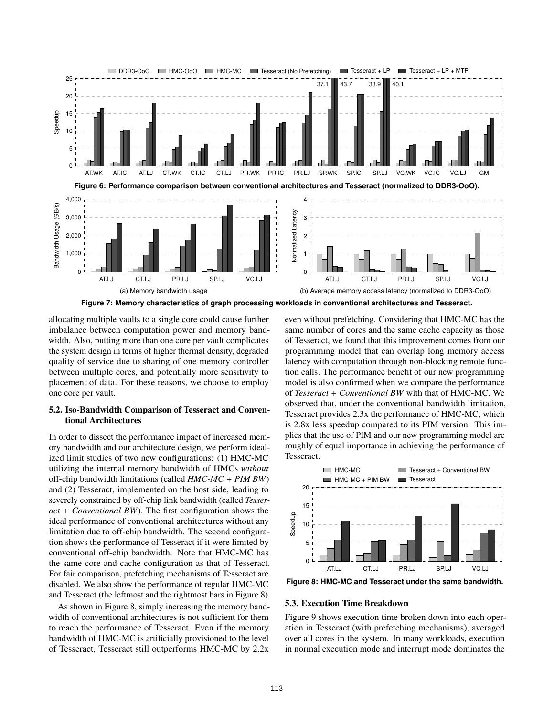

**Figure 7: Memory characteristics of graph processing workloads in conventional architectures and Tesseract.**

allocating multiple vaults to a single core could cause further imbalance between computation power and memory bandwidth. Also, putting more than one core per vault complicates the system design in terms of higher thermal density, degraded quality of service due to sharing of one memory controller between multiple cores, and potentially more sensitivity to placement of data. For these reasons, we choose to employ one core per vault.

# 5.2. Iso-Bandwidth Comparison of Tesseract and Conventional Architectures

In order to dissect the performance impact of increased memory bandwidth and our architecture design, we perform idealized limit studies of two new configurations: (1) HMC-MC utilizing the internal memory bandwidth of HMCs *without* off-chip bandwidth limitations (called *HMC-MC + PIM BW*) and (2) Tesseract, implemented on the host side, leading to severely constrained by off-chip link bandwidth (called *Tesseract + Conventional BW*). The first configuration shows the ideal performance of conventional architectures without any limitation due to off-chip bandwidth. The second configuration shows the performance of Tesseract if it were limited by conventional off-chip bandwidth. Note that HMC-MC has the same core and cache configuration as that of Tesseract. For fair comparison, prefetching mechanisms of Tesseract are disabled. We also show the performance of regular HMC-MC and Tesseract (the leftmost and the rightmost bars in Figure 8).

As shown in Figure 8, simply increasing the memory bandwidth of conventional architectures is not sufficient for them to reach the performance of Tesseract. Even if the memory bandwidth of HMC-MC is artificially provisioned to the level of Tesseract, Tesseract still outperforms HMC-MC by 2.2x

even without prefetching. Considering that HMC-MC has the same number of cores and the same cache capacity as those of Tesseract, we found that this improvement comes from our programming model that can overlap long memory access latency with computation through non-blocking remote function calls. The performance benefit of our new programming model is also confirmed when we compare the performance of *Tesseract + Conventional BW* with that of HMC-MC. We observed that, under the conventional bandwidth limitation, Tesseract provides 2.3x the performance of HMC-MC, which is 2.8x less speedup compared to its PIM version. This implies that the use of PIM and our new programming model are roughly of equal importance in achieving the performance of Tesseract.



**Figure 8: HMC-MC and Tesseract under the same bandwidth.**

#### 5.3. Execution Time Breakdown

Figure 9 shows execution time broken down into each operation in Tesseract (with prefetching mechanisms), averaged over all cores in the system. In many workloads, execution in normal execution mode and interrupt mode dominates the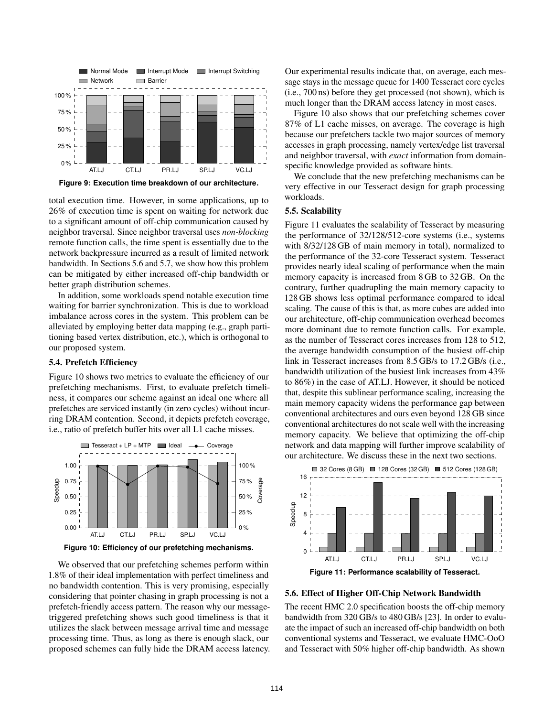

**Figure 9: Execution time breakdown of our architecture.**

total execution time. However, in some applications, up to 26% of execution time is spent on waiting for network due to a significant amount of off-chip communication caused by neighbor traversal. Since neighbor traversal uses *non-blocking* remote function calls, the time spent is essentially due to the network backpressure incurred as a result of limited network bandwidth. In Sections 5.6 and 5.7, we show how this problem can be mitigated by either increased off-chip bandwidth or better graph distribution schemes.

In addition, some workloads spend notable execution time waiting for barrier synchronization. This is due to workload imbalance across cores in the system. This problem can be alleviated by employing better data mapping (e.g., graph partitioning based vertex distribution, etc.), which is orthogonal to our proposed system.

### 5.4. Prefetch Efficiency

Figure 10 shows two metrics to evaluate the efficiency of our prefetching mechanisms. First, to evaluate prefetch timeliness, it compares our scheme against an ideal one where all prefetches are serviced instantly (in zero cycles) without incurring DRAM contention. Second, it depicts prefetch coverage, i.e., ratio of prefetch buffer hits over all L1 cache misses.



**Figure 10: Efficiency of our prefetching mechanisms.**

We observed that our prefetching schemes perform within 1.8% of their ideal implementation with perfect timeliness and no bandwidth contention. This is very promising, especially considering that pointer chasing in graph processing is not a prefetch-friendly access pattern. The reason why our messagetriggered prefetching shows such good timeliness is that it utilizes the slack between message arrival time and message processing time. Thus, as long as there is enough slack, our proposed schemes can fully hide the DRAM access latency. Our experimental results indicate that, on average, each message stays in the message queue for 1400 Tesseract core cycles (i.e., 700 ns) before they get processed (not shown), which is much longer than the DRAM access latency in most cases.

Figure 10 also shows that our prefetching schemes cover 87% of L1 cache misses, on average. The coverage is high because our prefetchers tackle two major sources of memory accesses in graph processing, namely vertex/edge list traversal and neighbor traversal, with *exact* information from domainspecific knowledge provided as software hints.

We conclude that the new prefetching mechanisms can be very effective in our Tesseract design for graph processing workloads.

### 5.5. Scalability

Figure 11 evaluates the scalability of Tesseract by measuring the performance of 32/128/512-core systems (i.e., systems with 8/32/128 GB of main memory in total), normalized to the performance of the 32-core Tesseract system. Tesseract provides nearly ideal scaling of performance when the main memory capacity is increased from 8 GB to 32 GB. On the contrary, further quadrupling the main memory capacity to 128 GB shows less optimal performance compared to ideal scaling. The cause of this is that, as more cubes are added into our architecture, off-chip communication overhead becomes more dominant due to remote function calls. For example, as the number of Tesseract cores increases from 128 to 512, the average bandwidth consumption of the busiest off-chip link in Tesseract increases from 8.5 GB/s to 17.2 GB/s (i.e., bandwidth utilization of the busiest link increases from 43% to 86%) in the case of AT.LJ. However, it should be noticed that, despite this sublinear performance scaling, increasing the main memory capacity widens the performance gap between conventional architectures and ours even beyond 128 GB since conventional architectures do not scale well with the increasing memory capacity. We believe that optimizing the off-chip network and data mapping will further improve scalability of our architecture. We discuss these in the next two sections.



5.6. Effect of Higher Off-Chip Network Bandwidth

The recent HMC 2.0 specification boosts the off-chip memory bandwidth from 320 GB/s to 480 GB/s [23]. In order to evaluate the impact of such an increased off-chip bandwidth on both conventional systems and Tesseract, we evaluate HMC-OoO and Tesseract with 50% higher off-chip bandwidth. As shown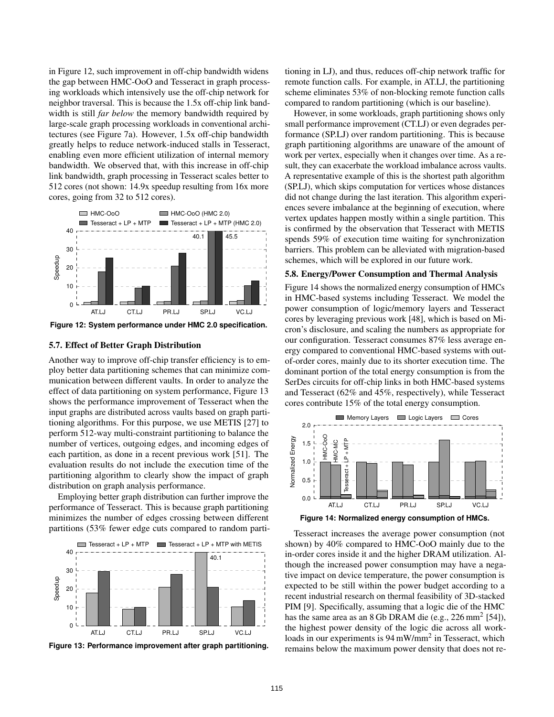in Figure 12, such improvement in off-chip bandwidth widens the gap between HMC-OoO and Tesseract in graph processing workloads which intensively use the off-chip network for neighbor traversal. This is because the 1.5x off-chip link bandwidth is still *far below* the memory bandwidth required by large-scale graph processing workloads in conventional architectures (see Figure 7a). However, 1.5x off-chip bandwidth greatly helps to reduce network-induced stalls in Tesseract, enabling even more efficient utilization of internal memory bandwidth. We observed that, with this increase in off-chip link bandwidth, graph processing in Tesseract scales better to 512 cores (not shown: 14.9x speedup resulting from 16x more cores, going from 32 to 512 cores).



**Figure 12: System performance under HMC 2.0 specification.**

#### 5.7. Effect of Better Graph Distribution

Another way to improve off-chip transfer efficiency is to employ better data partitioning schemes that can minimize communication between different vaults. In order to analyze the effect of data partitioning on system performance, Figure 13 shows the performance improvement of Tesseract when the input graphs are distributed across vaults based on graph partitioning algorithms. For this purpose, we use METIS [27] to perform 512-way multi-constraint partitioning to balance the number of vertices, outgoing edges, and incoming edges of each partition, as done in a recent previous work [51]. The evaluation results do not include the execution time of the partitioning algorithm to clearly show the impact of graph distribution on graph analysis performance.

Employing better graph distribution can further improve the performance of Tesseract. This is because graph partitioning minimizes the number of edges crossing between different partitions (53% fewer edge cuts compared to random parti-



**Figure 13: Performance improvement after graph partitioning.**

tioning in LJ), and thus, reduces off-chip network traffic for remote function calls. For example, in AT.LJ, the partitioning scheme eliminates 53% of non-blocking remote function calls compared to random partitioning (which is our baseline).

However, in some workloads, graph partitioning shows only small performance improvement (CT.LJ) or even degrades performance (SP.LJ) over random partitioning. This is because graph partitioning algorithms are unaware of the amount of work per vertex, especially when it changes over time. As a result, they can exacerbate the workload imbalance across vaults. A representative example of this is the shortest path algorithm (SP.LJ), which skips computation for vertices whose distances did not change during the last iteration. This algorithm experiences severe imbalance at the beginning of execution, where vertex updates happen mostly within a single partition. This is confirmed by the observation that Tesseract with METIS spends 59% of execution time waiting for synchronization barriers. This problem can be alleviated with migration-based schemes, which will be explored in our future work.

#### 5.8. Energy/Power Consumption and Thermal Analysis

Figure 14 shows the normalized energy consumption of HMCs in HMC-based systems including Tesseract. We model the power consumption of logic/memory layers and Tesseract cores by leveraging previous work [48], which is based on Micron's disclosure, and scaling the numbers as appropriate for our configuration. Tesseract consumes 87% less average energy compared to conventional HMC-based systems with outof-order cores, mainly due to its shorter execution time. The dominant portion of the total energy consumption is from the SerDes circuits for off-chip links in both HMC-based systems and Tesseract (62% and 45%, respectively), while Tesseract cores contribute 15% of the total energy consumption.



**Figure 14: Normalized energy consumption of HMCs.**

Tesseract increases the average power consumption (not shown) by 40% compared to HMC-OoO mainly due to the in-order cores inside it and the higher DRAM utilization. Although the increased power consumption may have a negative impact on device temperature, the power consumption is expected to be still within the power budget according to a recent industrial research on thermal feasibility of 3D-stacked PIM [9]. Specifically, assuming that a logic die of the HMC has the same area as an 8 Gb DRAM die (e.g.,  $226 \text{ mm}^2$  [54]), the highest power density of the logic die across all workloads in our experiments is 94 mW/mm<sup>2</sup> in Tesseract, which remains below the maximum power density that does not re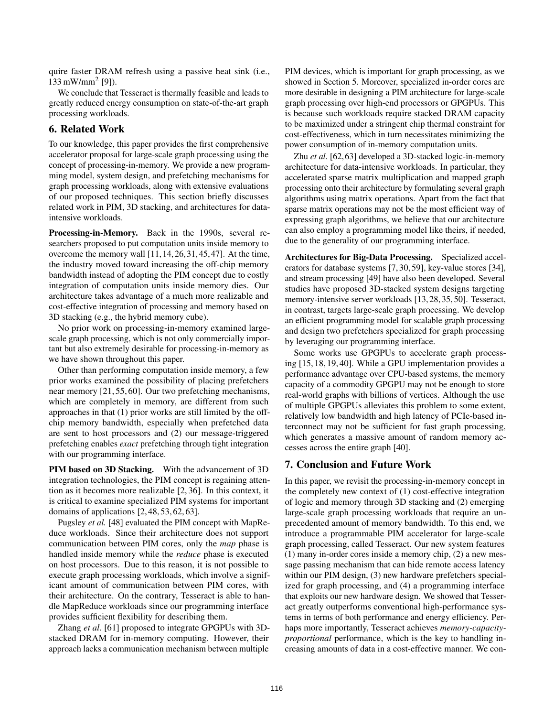quire faster DRAM refresh using a passive heat sink (i.e., 133 mW/mm<sup>2</sup> [9]).

We conclude that Tesseract is thermally feasible and leads to greatly reduced energy consumption on state-of-the-art graph processing workloads.

# 6. Related Work

To our knowledge, this paper provides the first comprehensive accelerator proposal for large-scale graph processing using the concept of processing-in-memory. We provide a new programming model, system design, and prefetching mechanisms for graph processing workloads, along with extensive evaluations of our proposed techniques. This section briefly discusses related work in PIM, 3D stacking, and architectures for dataintensive workloads.

Processing-in-Memory. Back in the 1990s, several researchers proposed to put computation units inside memory to overcome the memory wall [11, 14, 26, 31, 45, 47]. At the time, the industry moved toward increasing the off-chip memory bandwidth instead of adopting the PIM concept due to costly integration of computation units inside memory dies. Our architecture takes advantage of a much more realizable and cost-effective integration of processing and memory based on 3D stacking (e.g., the hybrid memory cube).

No prior work on processing-in-memory examined largescale graph processing, which is not only commercially important but also extremely desirable for processing-in-memory as we have shown throughout this paper.

Other than performing computation inside memory, a few prior works examined the possibility of placing prefetchers near memory [21, 55, 60]. Our two prefetching mechanisms, which are completely in memory, are different from such approaches in that (1) prior works are still limited by the offchip memory bandwidth, especially when prefetched data are sent to host processors and (2) our message-triggered prefetching enables *exact* prefetching through tight integration with our programming interface.

PIM based on 3D Stacking. With the advancement of 3D integration technologies, the PIM concept is regaining attention as it becomes more realizable [2, 36]. In this context, it is critical to examine specialized PIM systems for important domains of applications [2, 48, 53, 62, 63].

Pugsley *et al.* [48] evaluated the PIM concept with MapReduce workloads. Since their architecture does not support communication between PIM cores, only the *map* phase is handled inside memory while the *reduce* phase is executed on host processors. Due to this reason, it is not possible to execute graph processing workloads, which involve a significant amount of communication between PIM cores, with their architecture. On the contrary, Tesseract is able to handle MapReduce workloads since our programming interface provides sufficient flexibility for describing them.

Zhang *et al.* [61] proposed to integrate GPGPUs with 3Dstacked DRAM for in-memory computing. However, their approach lacks a communication mechanism between multiple

PIM devices, which is important for graph processing, as we showed in Section 5. Moreover, specialized in-order cores are more desirable in designing a PIM architecture for large-scale graph processing over high-end processors or GPGPUs. This is because such workloads require stacked DRAM capacity to be maximized under a stringent chip thermal constraint for cost-effectiveness, which in turn necessitates minimizing the power consumption of in-memory computation units.

Zhu *et al.* [62, 63] developed a 3D-stacked logic-in-memory architecture for data-intensive workloads. In particular, they accelerated sparse matrix multiplication and mapped graph processing onto their architecture by formulating several graph algorithms using matrix operations. Apart from the fact that sparse matrix operations may not be the most efficient way of expressing graph algorithms, we believe that our architecture can also employ a programming model like theirs, if needed, due to the generality of our programming interface.

Architectures for Big-Data Processing. Specialized accelerators for database systems [7, 30, 59], key-value stores [34], and stream processing [49] have also been developed. Several studies have proposed 3D-stacked system designs targeting memory-intensive server workloads [13, 28, 35, 50]. Tesseract, in contrast, targets large-scale graph processing. We develop an efficient programming model for scalable graph processing and design two prefetchers specialized for graph processing by leveraging our programming interface.

Some works use GPGPUs to accelerate graph processing [15, 18, 19, 40]. While a GPU implementation provides a performance advantage over CPU-based systems, the memory capacity of a commodity GPGPU may not be enough to store real-world graphs with billions of vertices. Although the use of multiple GPGPUs alleviates this problem to some extent, relatively low bandwidth and high latency of PCIe-based interconnect may not be sufficient for fast graph processing, which generates a massive amount of random memory accesses across the entire graph [40].

# 7. Conclusion and Future Work

In this paper, we revisit the processing-in-memory concept in the completely new context of (1) cost-effective integration of logic and memory through 3D stacking and (2) emerging large-scale graph processing workloads that require an unprecedented amount of memory bandwidth. To this end, we introduce a programmable PIM accelerator for large-scale graph processing, called Tesseract. Our new system features (1) many in-order cores inside a memory chip, (2) a new message passing mechanism that can hide remote access latency within our PIM design, (3) new hardware prefetchers specialized for graph processing, and (4) a programming interface that exploits our new hardware design. We showed that Tesseract greatly outperforms conventional high-performance systems in terms of both performance and energy efficiency. Perhaps more importantly, Tesseract achieves *memory-capacityproportional* performance, which is the key to handling increasing amounts of data in a cost-effective manner. We con